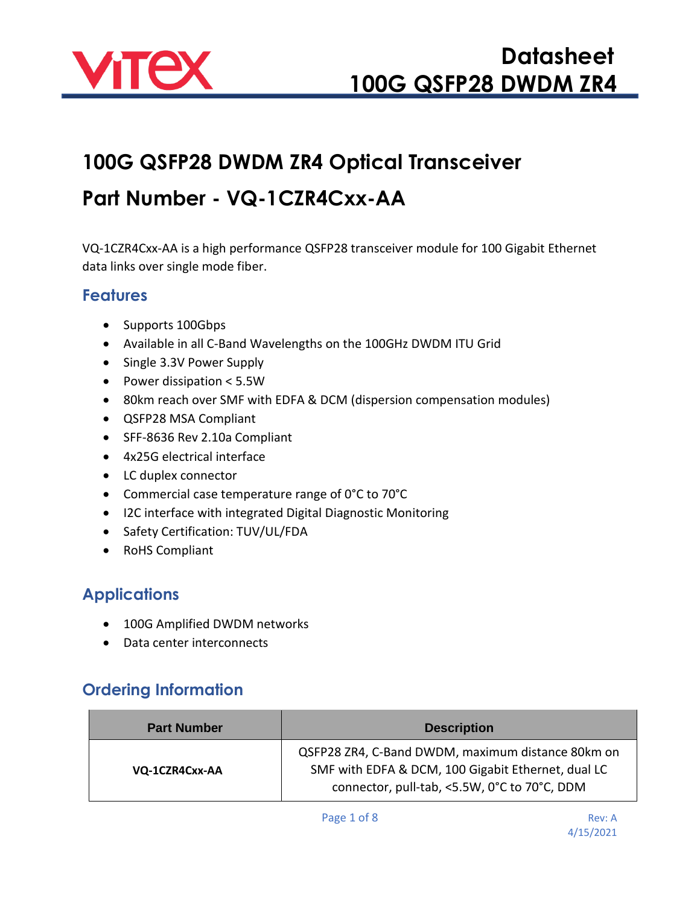

# **100G QSFP28 DWDM ZR4 Optical Transceiver**

### **Part Number - VQ-1CZR4Cxx-AA**

VQ-1CZR4Cxx-AA is a high performance QSFP28 transceiver module for 100 Gigabit Ethernet data links over single mode fiber.

#### **Features**

- Supports 100Gbps
- Available in all C-Band Wavelengths on the 100GHz DWDM ITU Grid
- Single 3.3V Power Supply
- Power dissipation < 5.5W
- 80km reach over SMF with EDFA & DCM (dispersion compensation modules)
- QSFP28 MSA Compliant
- SFF-8636 Rev 2.10a Compliant
- 4x25G electrical interface
- LC duplex connector
- Commercial case temperature range of 0°C to 70°C
- I2C interface with integrated Digital Diagnostic Monitoring
- Safety Certification: TUV/UL/FDA
- RoHS Compliant

#### **Applications**

- 100G Amplified DWDM networks
- Data center interconnects

#### **Ordering Information**

| <b>Part Number</b> | <b>Description</b>                                                                                                                                      |
|--------------------|---------------------------------------------------------------------------------------------------------------------------------------------------------|
| VQ-1CZR4Cxx-AA     | QSFP28 ZR4, C-Band DWDM, maximum distance 80km on<br>SMF with EDFA & DCM, 100 Gigabit Ethernet, dual LC<br>connector, pull-tab, <5.5W, 0°C to 70°C, DDM |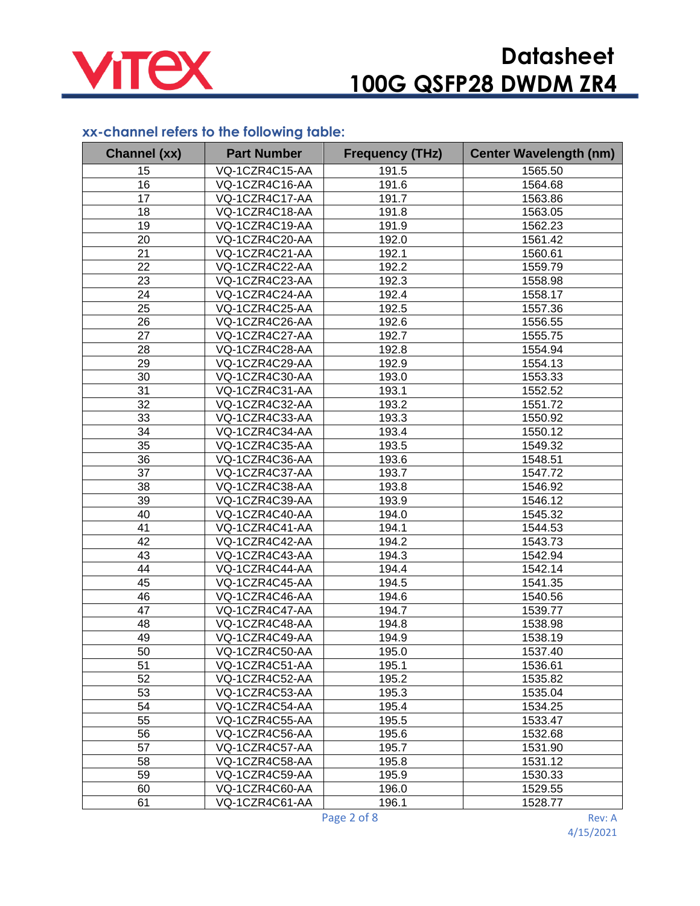

#### **xx-channel refers to the following table:**

| <b>Channel (xx)</b> | <b>Part Number</b> | <b>Frequency (THz)</b> | <b>Center Wavelength (nm)</b> |
|---------------------|--------------------|------------------------|-------------------------------|
| 15                  | VQ-1CZR4C15-AA     | 191.5                  | 1565.50                       |
| 16                  | VQ-1CZR4C16-AA     | 191.6                  | 1564.68                       |
| 17                  | VQ-1CZR4C17-AA     | 191.7                  | 1563.86                       |
| 18                  | VQ-1CZR4C18-AA     | 191.8                  | 1563.05                       |
| 19                  | VQ-1CZR4C19-AA     | 191.9                  | 1562.23                       |
| 20                  | VQ-1CZR4C20-AA     | 192.0                  | 1561.42                       |
| 21                  | VQ-1CZR4C21-AA     | 192.1                  | 1560.61                       |
| 22                  | VQ-1CZR4C22-AA     | 192.2                  | 1559.79                       |
| 23                  | VQ-1CZR4C23-AA     | 192.3                  | 1558.98                       |
| 24                  | VQ-1CZR4C24-AA     | 192.4                  | 1558.17                       |
| 25                  | VQ-1CZR4C25-AA     | 192.5                  | 1557.36                       |
| 26                  | VQ-1CZR4C26-AA     | 192.6                  | 1556.55                       |
| 27                  | VQ-1CZR4C27-AA     | 192.7                  | 1555.75                       |
| 28                  | VQ-1CZR4C28-AA     | 192.8                  | 1554.94                       |
| 29                  | VQ-1CZR4C29-AA     | 192.9                  | 1554.13                       |
| 30                  | VQ-1CZR4C30-AA     | 193.0                  | 1553.33                       |
| 31                  | VQ-1CZR4C31-AA     | 193.1                  | 1552.52                       |
| 32                  | VQ-1CZR4C32-AA     | 193.2                  | 1551.72                       |
| 33                  | VQ-1CZR4C33-AA     | 193.3                  | 1550.92                       |
| 34                  | VQ-1CZR4C34-AA     | 193.4                  | 1550.12                       |
| 35                  | VQ-1CZR4C35-AA     | 193.5                  | 1549.32                       |
| 36                  | VQ-1CZR4C36-AA     | 193.6                  | 1548.51                       |
| 37                  | VQ-1CZR4C37-AA     | 193.7                  | 1547.72                       |
| 38                  | VQ-1CZR4C38-AA     | 193.8                  | 1546.92                       |
| 39                  | VQ-1CZR4C39-AA     | 193.9                  | 1546.12                       |
| 40                  | VQ-1CZR4C40-AA     | 194.0                  | 1545.32                       |
| 41                  | VQ-1CZR4C41-AA     | 194.1                  | 1544.53                       |
| 42                  | VQ-1CZR4C42-AA     | 194.2                  | 1543.73                       |
| 43                  | VQ-1CZR4C43-AA     | 194.3                  | 1542.94                       |
| 44                  | VQ-1CZR4C44-AA     | 194.4                  | 1542.14                       |
| 45                  | VQ-1CZR4C45-AA     | 194.5                  | 1541.35                       |
| 46                  | VQ-1CZR4C46-AA     | 194.6                  | 1540.56                       |
| 47                  | VQ-1CZR4C47-AA     | 194.7                  | 1539.77                       |
| 48                  | VQ-1CZR4C48-AA     | 194.8                  | 1538.98                       |
| 49                  | VQ-1CZR4C49-AA     | 194.9                  | 1538.19                       |
| 50                  | VQ-1CZR4C50-AA     | 195.0                  | 1537.40                       |
| 51                  | VQ-1CZR4C51-AA     | 195.1                  | 1536.61                       |
| 52                  | VQ-1CZR4C52-AA     | 195.2                  | 1535.82                       |
| 53                  | VQ-1CZR4C53-AA     | 195.3                  | 1535.04                       |
| 54                  | VQ-1CZR4C54-AA     | 195.4                  | 1534.25                       |
| 55                  | VQ-1CZR4C55-AA     | 195.5                  | 1533.47                       |
| 56                  | VQ-1CZR4C56-AA     | 195.6                  | 1532.68                       |
| 57                  | VQ-1CZR4C57-AA     | 195.7                  | 1531.90                       |
| 58                  | VQ-1CZR4C58-AA     | 195.8                  | 1531.12                       |
| 59                  | VQ-1CZR4C59-AA     | 195.9                  | 1530.33                       |
| 60                  | VQ-1CZR4C60-AA     | 196.0                  | 1529.55                       |
| 61                  | VQ-1CZR4C61-AA     | 196.1                  | 1528.77                       |

Page 2 of 8 Rev: A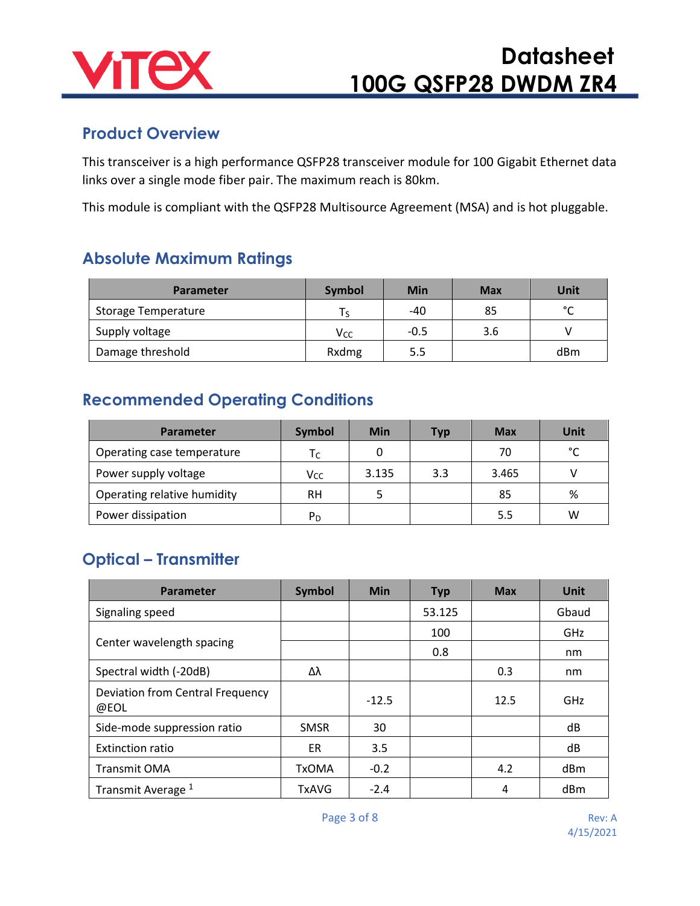

#### **Product Overview**

This transceiver is a high performance QSFP28 transceiver module for 100 Gigabit Ethernet data links over a single mode fiber pair. The maximum reach is 80km.

This module is compliant with the QSFP28 Multisource Agreement (MSA) and is hot pluggable.

#### **Absolute Maximum Ratings**

| <b>Parameter</b>    | Symbol                 | Min    | <b>Max</b> | Unit   |
|---------------------|------------------------|--------|------------|--------|
| Storage Temperature | Ts.                    | -40    | 85         | $\sim$ |
| Supply voltage      | <b>V</b> <sub>cc</sub> | $-0.5$ | 3.6        |        |
| Damage threshold    | Rxdmg                  | 5.5    |            | dBm    |

### **Recommended Operating Conditions**

| <b>Parameter</b>            | <b>Symbol</b>  | <b>Min</b> | <b>Typ</b> | Max   | <b>Unit</b> |
|-----------------------------|----------------|------------|------------|-------|-------------|
| Operating case temperature  | Тc             |            |            | 70    | °∩          |
| Power supply voltage        | Vcc            | 3.135      | 3.3        | 3.465 |             |
| Operating relative humidity | RH             | 5.         |            | 85    | %           |
| Power dissipation           | P <sub>D</sub> |            |            | 5.5   | w           |

### **Optical – Transmitter**

| Parameter                                | <b>Symbol</b> | <b>Min</b> | <b>Typ</b> | <b>Max</b> | <b>Unit</b> |
|------------------------------------------|---------------|------------|------------|------------|-------------|
| Signaling speed                          |               |            | 53.125     |            | Gbaud       |
|                                          |               |            | 100        |            | <b>GHz</b>  |
| Center wavelength spacing                |               |            | 0.8        |            | nm          |
| Spectral width (-20dB)                   | Δλ            |            |            | 0.3        | nm          |
| Deviation from Central Frequency<br>@EOL |               | $-12.5$    |            | 12.5       | <b>GHz</b>  |
| Side-mode suppression ratio              | <b>SMSR</b>   | 30         |            |            | dB          |
| <b>Extinction ratio</b>                  | ER.           | 3.5        |            |            | dB          |
| Transmit OMA                             | <b>TxOMA</b>  | $-0.2$     |            | 4.2        | dBm         |
| Transmit Average <sup>1</sup>            | <b>TxAVG</b>  | $-2.4$     |            | 4          | dBm         |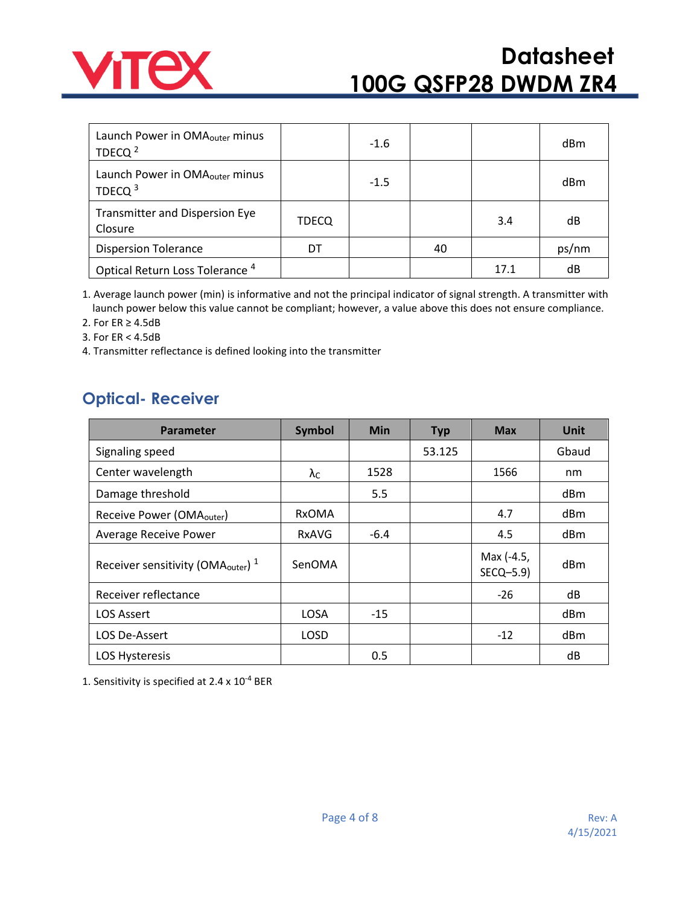

| Launch Power in OMA <sub>outer</sub> minus<br>TDECQ $^2$ |              | $-1.6$ |    |      | dBm   |
|----------------------------------------------------------|--------------|--------|----|------|-------|
| Launch Power in OMA <sub>outer</sub> minus<br>TDECQ $3$  |              | $-1.5$ |    |      | dBm   |
| <b>Transmitter and Dispersion Eye</b><br>Closure         | <b>TDECQ</b> |        |    | 3.4  | dB    |
| <b>Dispersion Tolerance</b>                              | DT           |        | 40 |      | ps/nm |
| Optical Return Loss Tolerance <sup>4</sup>               |              |        |    | 17.1 | dB    |

1. Average launch power (min) is informative and not the principal indicator of signal strength. A transmitter with launch power below this value cannot be compliant; however, a value above this does not ensure compliance.

2. For ER ≥ 4.5dB

3. For ER < 4.5dB

4. Transmitter reflectance is defined looking into the transmitter

#### **Optical- Receiver**

| <b>Parameter</b>                                          | <b>Symbol</b>        | Min    | <b>Typ</b> | <b>Max</b>              | <b>Unit</b> |
|-----------------------------------------------------------|----------------------|--------|------------|-------------------------|-------------|
| Signaling speed                                           |                      |        | 53.125     |                         | Gbaud       |
| Center wavelength                                         | $\lambda_{\text{C}}$ | 1528   |            | 1566                    | nm          |
| Damage threshold                                          |                      | 5.5    |            |                         | dBm         |
| Receive Power (OMA <sub>outer</sub> )                     | <b>RxOMA</b>         |        |            | 4.7                     | dBm         |
| <b>Average Receive Power</b>                              | <b>RxAVG</b>         | $-6.4$ |            | 4.5                     | dBm         |
| Receiver sensitivity (OMA <sub>outer</sub> ) <sup>1</sup> | SenOMA               |        |            | Max (-4.5,<br>SECQ-5.9) | dBm         |
| Receiver reflectance                                      |                      |        |            | $-26$                   | dB          |
| <b>LOS Assert</b>                                         | <b>LOSA</b>          | $-15$  |            |                         | dBm         |
| LOS De-Assert                                             | <b>LOSD</b>          |        |            | $-12$                   | dBm         |
| <b>LOS Hysteresis</b>                                     |                      | 0.5    |            |                         | dB          |

1. Sensitivity is specified at 2.4 x 10-4 BER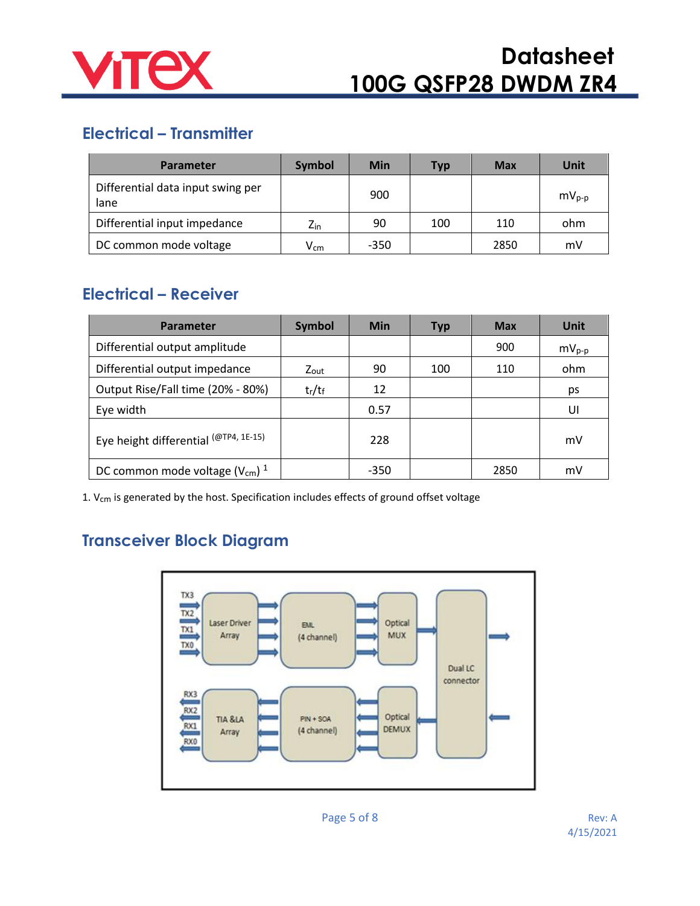

### **Electrical – Transmitter**

| <b>Parameter</b>                          | <b>Symbol</b>     | <b>Min</b> | <b>Typ</b> | <b>Max</b> | Unit       |
|-------------------------------------------|-------------------|------------|------------|------------|------------|
| Differential data input swing per<br>lane |                   | 900        |            |            | $mv_{p-p}$ |
| Differential input impedance              | $Z_{\text{in}}$   | 90         | 100        | 110        | ohm        |
| DC common mode voltage                    | $\mathsf{V_{cm}}$ | $-350$     |            | 2850       | mV         |

#### **Electrical – Receiver**

| <b>Parameter</b>                               | <b>Symbol</b>    | <b>Min</b> | <b>Typ</b> | <b>Max</b> | Unit       |
|------------------------------------------------|------------------|------------|------------|------------|------------|
| Differential output amplitude                  |                  |            |            | 900        | $mV_{p-p}$ |
| Differential output impedance                  | $Z_{\text{out}}$ | 90         | 100        | 110        | ohm        |
| Output Rise/Fall time (20% - 80%)              | $t_r/t_f$        | 12         |            |            | ps         |
| Eye width                                      |                  | 0.57       |            |            | UI         |
| Eye height differential (@TP4, 1E-15)          |                  | 228        |            |            | mV         |
| DC common mode voltage $(V_{cm})$ <sup>1</sup> |                  | $-350$     |            | 2850       | mV         |

1.  $V_{cm}$  is generated by the host. Specification includes effects of ground offset voltage

### **Transceiver Block Diagram**

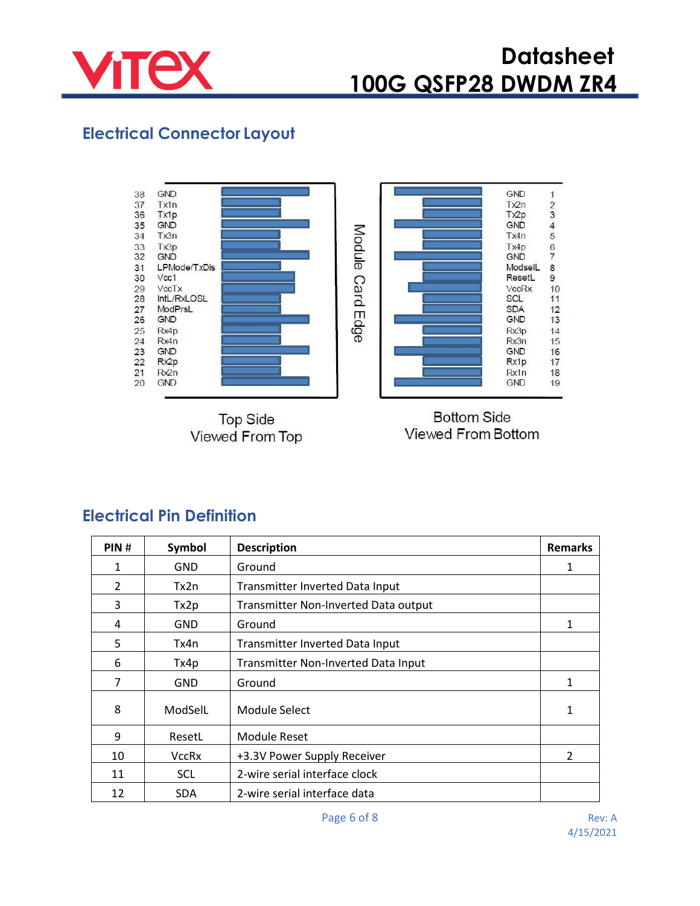

### **Electrical Connector Layout**



**Top Side Viewed From Top** 

**Bottom Side Viewed From Bottom** 

| PIN#           | Symbol       | <b>Description</b>                   | <b>Remarks</b> |
|----------------|--------------|--------------------------------------|----------------|
| 1              | <b>GND</b>   | Ground                               | 1              |
| $\overline{2}$ | Tx2n         | Transmitter Inverted Data Input      |                |
| 3              | Tx2p         | Transmitter Non-Inverted Data output |                |
| 4              | <b>GND</b>   | Ground                               | 1              |
| 5              | Tx4n         | Transmitter Inverted Data Input      |                |
| 6              | Tx4p         | Transmitter Non-Inverted Data Input  |                |
| 7              | <b>GND</b>   | Ground                               | 1              |
| 8              | ModSelL      | Module Select                        | 1              |
| 9              | ResetL       | <b>Module Reset</b>                  |                |
| 10             | <b>VccRx</b> | +3.3V Power Supply Receiver          | 2              |
| 11             | <b>SCL</b>   | 2-wire serial interface clock        |                |
| 12             | <b>SDA</b>   | 2-wire serial interface data         |                |

#### **Electrical Pin Definition**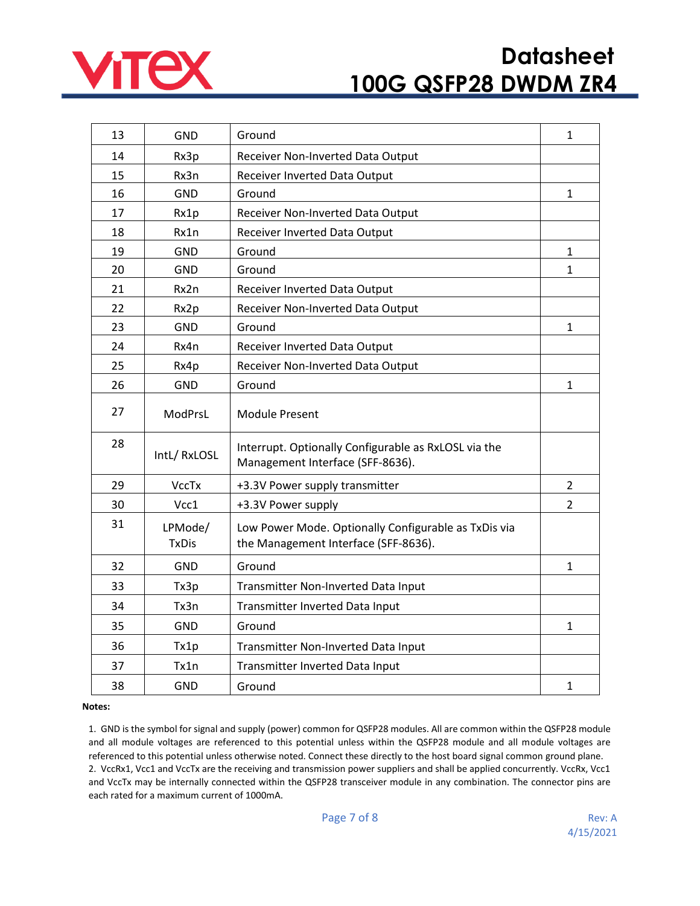

| 13 | <b>GND</b>              | Ground                                                                                       | 1              |
|----|-------------------------|----------------------------------------------------------------------------------------------|----------------|
| 14 | Rx3p                    | Receiver Non-Inverted Data Output                                                            |                |
| 15 | Rx3n                    | Receiver Inverted Data Output                                                                |                |
| 16 | <b>GND</b>              | Ground                                                                                       | 1              |
| 17 | Rx1p                    | Receiver Non-Inverted Data Output                                                            |                |
| 18 | Rx1n                    | Receiver Inverted Data Output                                                                |                |
| 19 | <b>GND</b>              | Ground                                                                                       | $\mathbf{1}$   |
| 20 | <b>GND</b>              | Ground                                                                                       | $\mathbf 1$    |
| 21 | Rx2n                    | Receiver Inverted Data Output                                                                |                |
| 22 | Rx2p                    | Receiver Non-Inverted Data Output                                                            |                |
| 23 | <b>GND</b>              | Ground                                                                                       | $\mathbf{1}$   |
| 24 | Rx4n                    | Receiver Inverted Data Output                                                                |                |
| 25 | Rx4p                    | Receiver Non-Inverted Data Output                                                            |                |
| 26 | <b>GND</b>              | Ground                                                                                       | $\mathbf{1}$   |
| 27 | ModPrsL                 | <b>Module Present</b>                                                                        |                |
| 28 | IntL/RxLOSL             | Interrupt. Optionally Configurable as RxLOSL via the<br>Management Interface (SFF-8636).     |                |
| 29 | <b>VccTx</b>            | +3.3V Power supply transmitter                                                               | 2              |
| 30 | Vcc1                    | +3.3V Power supply                                                                           | $\overline{2}$ |
| 31 | LPMode/<br><b>TxDis</b> | Low Power Mode. Optionally Configurable as TxDis via<br>the Management Interface (SFF-8636). |                |
| 32 | GND                     | Ground                                                                                       | $\mathbf{1}$   |
| 33 | Tx3p                    | Transmitter Non-Inverted Data Input                                                          |                |
| 34 | Tx3n                    | Transmitter Inverted Data Input                                                              |                |
| 35 | <b>GND</b>              | Ground                                                                                       | $\mathbf{1}$   |
| 36 | Tx1p                    | Transmitter Non-Inverted Data Input                                                          |                |
| 37 | Tx1n                    | Transmitter Inverted Data Input                                                              |                |
| 38 | <b>GND</b>              | Ground                                                                                       | $\mathbf{1}$   |

#### **Notes:**

1. GND is the symbol for signal and supply (power) common for QSFP28 modules. All are common within the QSFP28 module and all module voltages are referenced to this potential unless within the QSFP28 module and all module voltages are referenced to this potential unless otherwise noted. Connect these directly to the host board signal common ground plane. 2. VccRx1, Vcc1 and VccTx are the receiving and transmission power suppliers and shall be applied concurrently. VccRx, Vcc1 and VccTx may be internally connected within the QSFP28 transceiver module in any combination. The connector pins are each rated for a maximum current of 1000mA.